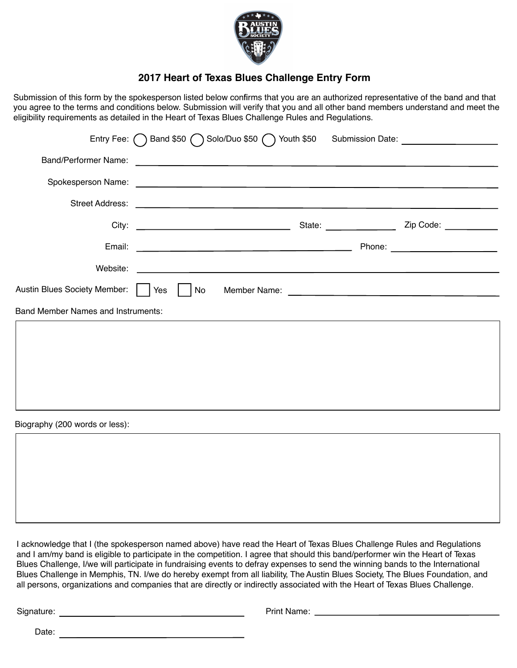

## **2017 Heart of Texas Blues Challenge Entry Form**

Submission of this form by the spokesperson listed below confirms that you are an authorized representative of the band and that you agree to the terms and conditions below. Submission will verify that you and all other band members understand and meet the eligibility requirements as detailed in the Heart of Texas Blues Challenge Rules and Regulations.

|                                      |    |                                                                                                                                                                                                                                      |  | Entry Fee: ( Band \$50 ( Solo/Duo \$50 ( ) Youth \$50 Submission Date: |  |
|--------------------------------------|----|--------------------------------------------------------------------------------------------------------------------------------------------------------------------------------------------------------------------------------------|--|------------------------------------------------------------------------|--|
|                                      |    |                                                                                                                                                                                                                                      |  |                                                                        |  |
|                                      |    |                                                                                                                                                                                                                                      |  |                                                                        |  |
|                                      |    | Street Address: <u>New York: New York: New York: New York: New York: New York: New York: New York: New York: New York: New York: New York: New York: New York: New York: New York: New York: New York: New York: New York: New Y</u> |  |                                                                        |  |
|                                      |    |                                                                                                                                                                                                                                      |  |                                                                        |  |
|                                      |    |                                                                                                                                                                                                                                      |  |                                                                        |  |
|                                      |    |                                                                                                                                                                                                                                      |  |                                                                        |  |
| Austin Blues Society Member:     Yes | No |                                                                                                                                                                                                                                      |  |                                                                        |  |
| Band Member Names and Instruments:   |    |                                                                                                                                                                                                                                      |  |                                                                        |  |
|                                      |    |                                                                                                                                                                                                                                      |  |                                                                        |  |
|                                      |    |                                                                                                                                                                                                                                      |  |                                                                        |  |
|                                      |    |                                                                                                                                                                                                                                      |  |                                                                        |  |
|                                      |    |                                                                                                                                                                                                                                      |  |                                                                        |  |
| Diaaraphi (200 unada or loo).        |    |                                                                                                                                                                                                                                      |  |                                                                        |  |

Biography (200 words or less):

I acknowledge that I (the spokesperson named above) have read the Heart of Texas Blues Challenge Rules and Regulations and I am/my band is eligible to participate in the competition. I agree that should this band/performer win the Heart of Texas Blues Challenge, I/we will participate in fundraising events to defray expenses to send the winning bands to the International Blues Challenge in Memphis, TN. I/we do hereby exempt from all liability, The Austin Blues Society, The Blues Foundation, and all persons, organizations and companies that are directly or indirectly associated with the Heart of Texas Blues Challenge.

Signature: Print Name:

Date: